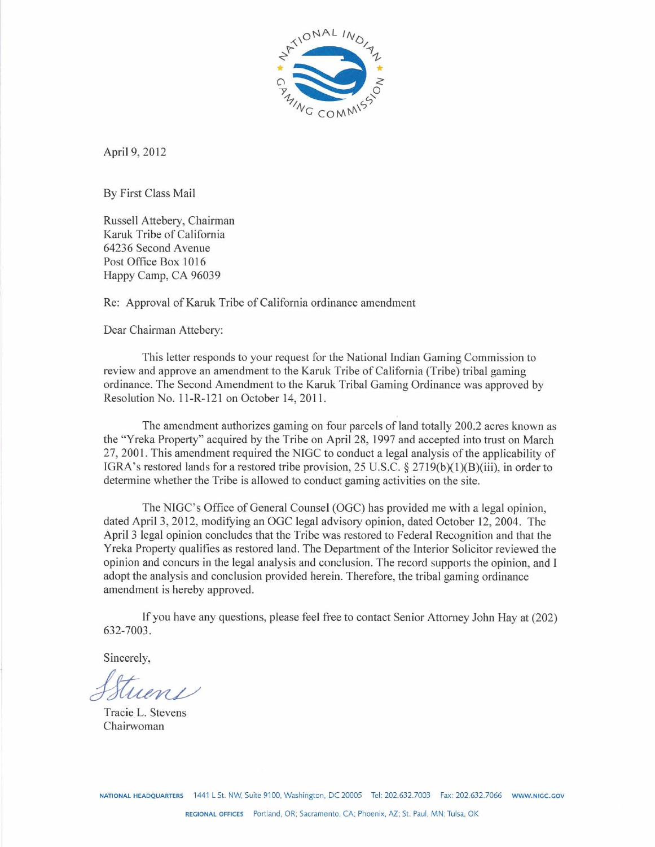

April 9, 2012

By First Class Mail

Russell Attebery, Chairman Karuk Tribe of California 64236 Second Avenue Post Office Box 1016 Happy Camp, CA 96039

Re: Approval of Karuk Tribe of California ordinance amendment

Dear Chairman Attebery:

This letter responds to your request for the National Indian Gaming Commission to review and approve an amendment to the Karuk Tribe of California (Tribe) tribal gaming ordinance. The Second Amendment to the Karuk Tribal Gaming Ordinance was approved by Resolution No. 11-R-121 on October 14, 2011.

The amendment authorizes gaming on four parcels of land totally 200.2 acres known as the "Yreka Property" acquired by the Tribe on April 28, 1997 and accepted into trust on March 27, 2001. This amendment required the NIGC to conduct a legal analysis of the applicability of IGRA's restored lands for a restored tribe provision, 25 U.S.C. § 2719(b)(1)(B)(iii), in order to determine whether the Tribe is allowed to conduct gaming activities on the site.

The NIGC's Office of General Counsel (OGC) has provided me with a legal opinion, dated April 3,2012, modifying an OGC legal advisory opinion, dated October 12,2004. The April 3 legal opinion concludes that the Tribe was restored to Federal Recognition and that the Yreka Property qualifies as restored land. The Department of the Interior Solicitor reviewed the opinion and concurs in the legal analysis and conclusion. The record supports the opinion, and I adopt the analysis and conclusion provided herein. Therefore, the tribal gaming ordinance amendment is hereby approved.

If you have any questions, please feel free to contact Senior Attorney John Hay at (202) 632-7003.

Sincerely,

 $\mu$ *m*  $\mu$ 

Tracie L. Stevens Chairwoman

**NATIONAL HEADQUARTERS 1441** LSt. **NW.** Suite 9100, Washington, DC 20035 Tel: 202.632.7003 **h:** 202.632.7066 **WWW.NlGC.GOV**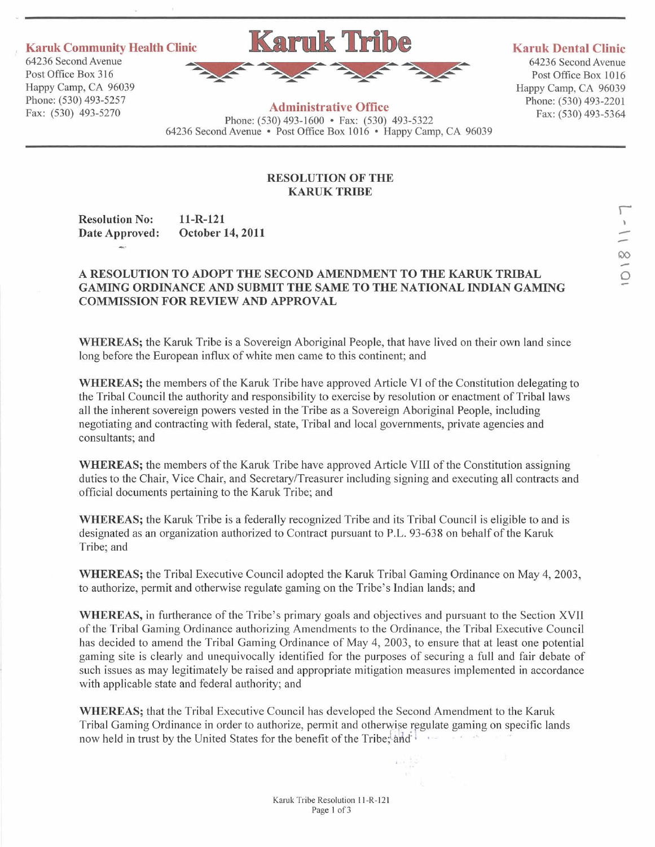-.

Post Office Box 316<br>Happy Camp, CA 96039



Post Office Box 1016 Happy Camp, CA **96039** Havvv Camv, CA **96039** 

**Karuk Community Health Clinic Community Avenue Clinic Reserves Avenue Arithmetic Clinic Clinic Clinic 64236 Second Avenue 64236 Second Avenue 64236 Second Avenue 64236 Second Avenue 64236 Second Avenue 64236 Second Avenue A AA A AA A AA** 

## hone: **(530) 493-5257 Administrative Office** ~hine: **(530) 493-2201 Administrative Office**<br>Fax: (530) 493-5270 **Phone:** (530) 493-1600 **.** Fax: (530) 493-5322 **Fax:** (530) 493-5364 **<sup>64236</sup>**Second Avenue Post Office Box **1016** . Happy Camp, CA **<sup>96039</sup>**

## **RESOLUTION OF THE KARUK TRIBE**

Resolution No: 11-R-121<br>Date Approved: October 14, 2011 Date Approved:

# **A RESOLUTION TO ADOPT THE SECOND** AMENDMENT **TO THE** KARUK **TRIBAL GAMING ORDINANCE AND SUBMIT THE SAME TO THE NATIONAL INDIAN GAMING COMMISSION FOR REVIEW** AND **APPROVAL**

**WHEREAS;** the Karuk Tribe is a Sovereign Aboriginal People, that have lived on their own land since long before the European influx of white men came to this continent; and

**WHEREAS;** the members of the Karuk Tribe have approved Article VI of the Constitution delegating to the Tribal Council the authority and responsibility to exercise by resolution or enactment of Tribal laws all the inherent sovereign powers vested in the Tribe as a Sovereign Aboriginal People, including negotiating and contracting with federal, state, Tribal and local governments, private agencies and consultants; and

**WHEREAS;** the members of the Karuk Tribe have approved Article VIII of the Constitution assigning duties to the Chair, Vice Chair, and Secretary/Treasurer including signing and executing all contracts and official documents pertaining to the Karuk Tribe; and

**WHEREAS;** the Karuk Tribe is a federally recognized Tribe and its Tribal Council is eligible to and is designated as an organization authorized to Contract pursuant to P.L. **93-638** on behalf of the Karuk Tribe; and

**WHEREAS;** the Tribal Executive Council adopted the Karuk Tribal Gaming Ordinance on May **4,2003,**  to authorize, permit and otherwise regulate gaming on the Tribe's Indian lands; and

**WHEREAS,** in furtherance of the Tribe's primary goals and objectives and pursuant to the Section XVII of the Tribal Gaming Ordinance authorizing Amendments to the Ordinance, the Tribal Executive Council has decided to amend the Tribal Gaming Ordinance of May **4, 2003,** to ensure that at least one potential gaming site is clearly and unequivocally identified for the purposes of securing a full and fair debate of such issues as may legitimately be raised and appropriate mitigation measures implemented in accordance with applicable state and federal authority; and

**WHEREAS;** that the Tribal Executive Council has developed the Second Amendment to the Karuk Tribal Gaming Ordinance in order to authorize, permit and otherwise regulate gaming on specific lands now held in trust by the United States for the benefit of the Tribe; and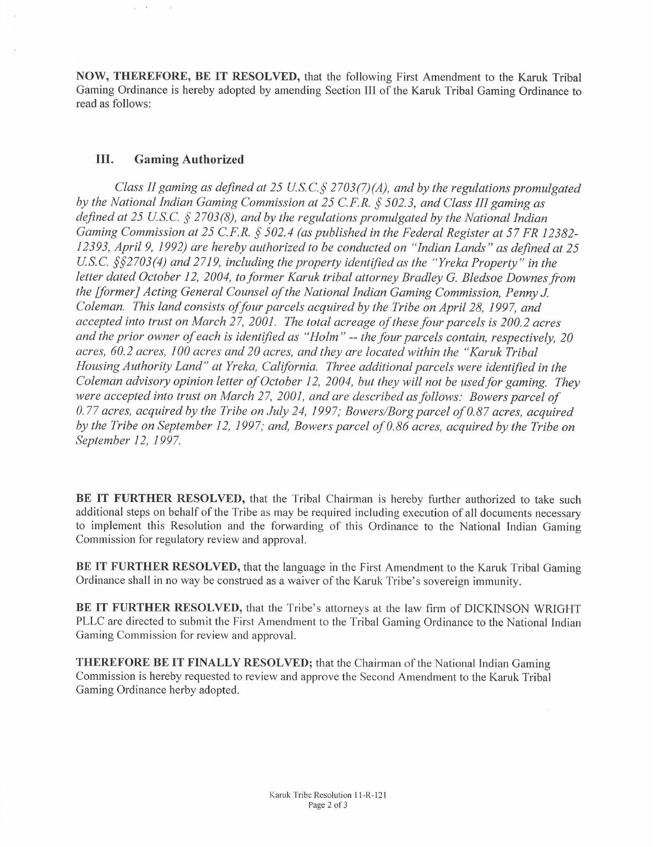**NOW, THEREFORE, BE IT RESOLVED,** that the following First Amendment to the **Karuk** Tribal Gaming Ordinance is hereby adopted by amending Section **111** of the **Karuk** Tribal Gaming Ordinance to read as follows:

# **111. Gaming Authorized**

 $\tilde{\mu} = 0$ 

 $\sim$   $\,$   $\,$   $\,$ 

*Class II gaming as defined at 25 U.S.C.§ 2703(7)(A), and by the regulations promulgated by the National Indian Gaming Commission at 25 C.F.R. \$502.3, and Class III gaming as defned at 25 U.S.C. §2703(8), and by the regulations promulgated by the National Indian Gaming Commission at 25 C.F.R. \$502.4 (as published in the Federal Register at 57 FR 12382- 12393, April 9, 1992) are hereby authorized to be conducted on "Indian Lands" as defined at 25 U.S.C. §\$2703(4) and 2719, including the property identified as the "Yreka Property" in the*  letter dated October 12, 2004, to former Karuk tribal attorney Bradley G. Bledsoe Downes from *the [former] Acting General Counsel of the National Indian Gaming Commission, Penny J. Coleman. This land consists offour parcels acquired by the Tribe on April 28, 1997, and accepted into trust on March 27, 2001. The total acreage of these four parcels is 200.2 acres and the prior owner of each is identiJied as "Holm"* -- *the four parcels contain, respectively, 20 acres, 60.2 acres, 100 acres and 20 acres, and they are located within the "Karuk Tribal Housing Authority Land" at Yreka, California. Three additional parcels were identified in the Coleman advisory opinion letter of October 12, 2004, but they will not be usedfor gaming. They were accepted into trust on March 27, 2001, and are described as follows: Bowers parcel of 0.77 acres, acquired by the Tribe on July 24, 1997; Bowers/Borgparcel of 0.87 acres, acquired by the Tribe on September 12, 1997; an4 Bowers parcel of 0.86 acres, acquired by the Tribe on September 12, 1997.* 

**BE IT FURTHER RESOLVED,** that the Tribal Chairman is hereby further authorized to take such additional steps on behalf of the Tribe as may be required including execution of all documents necessary to implement this Resolution and the forwarding of this Ordinance to the National Indian Gaming Commission for regulatory review and approval.

BE IT FURTHER RESOLVED, that the language in the First Amendment to the Karuk Tribal Gaming Ordinance shall in no way be construed as a waiver of the **Karuk** Tribe's sovereign immunity.

**BE IT FURTHER RESOLVED,** that the Tribe's attorneys at the law **firm** of DICKINSON WRIGHT PLLC are directed to submit the First Amendment to the Tribal Gaming Ordinance to the National Indian Gaming Commission for review and approval.

**THEREFORE BE IT FINALLY RESOLVED;** that the Chairman of the National Indian Gaming Commission is hereby requested to review and approve the Second Amendment to the Karuk Tribal Gaming Ordinance herby adopted.